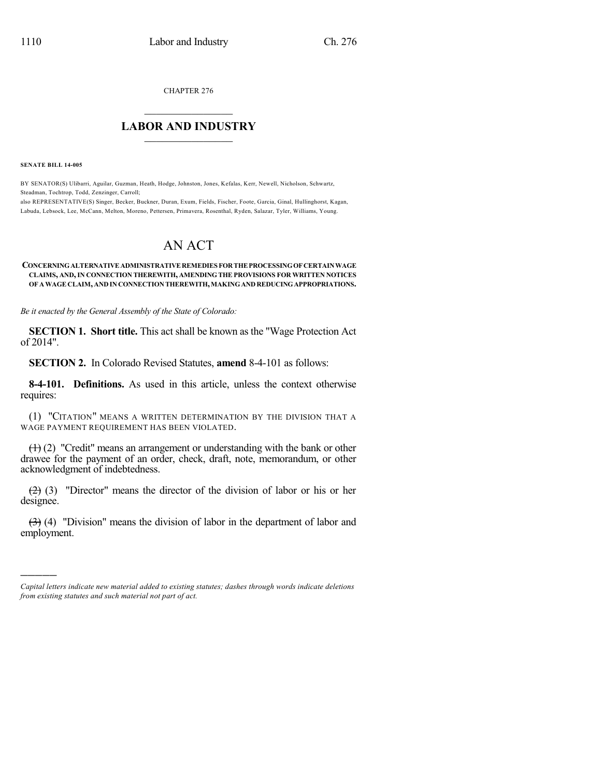CHAPTER 276

## $\mathcal{L}_\text{max}$  . The set of the set of the set of the set of the set of the set of the set of the set of the set of the set of the set of the set of the set of the set of the set of the set of the set of the set of the set **LABOR AND INDUSTRY**  $\frac{1}{\sqrt{2}}$  ,  $\frac{1}{\sqrt{2}}$  ,  $\frac{1}{\sqrt{2}}$  ,  $\frac{1}{\sqrt{2}}$  ,  $\frac{1}{\sqrt{2}}$  ,  $\frac{1}{\sqrt{2}}$

**SENATE BILL 14-005**

)))))

BY SENATOR(S) Ulibarri, Aguilar, Guzman, Heath, Hodge, Johnston, Jones, Kefalas, Kerr, Newell, Nicholson, Schwartz, Steadman, Tochtrop, Todd, Zenzinger, Carroll;

also REPRESENTATIVE(S) Singer, Becker, Buckner, Duran, Exum, Fields, Fischer, Foote, Garcia, Ginal, Hullinghorst, Kagan, Labuda, Lebsock, Lee, McCann, Melton, Moreno, Pettersen, Primavera, Rosenthal, Ryden, Salazar, Tyler, Williams, Young.

# AN ACT

#### **CONCERNINGALTERNATIVEADMINISTRATIVEREMEDIES FORTHEPROCESSINGOFCERTAINWAGE CLAIMS, AND,IN CONNECTION THEREWITH, AMENDING THE PROVISIONS FOR WRITTEN NOTICES OF AWAGE CLAIM, AND IN CONNECTION THEREWITH,MAKINGANDREDUCINGAPPROPRIATIONS.**

*Be it enacted by the General Assembly of the State of Colorado:*

**SECTION 1. Short title.** This act shall be known as the "Wage Protection Act of 2014".

**SECTION 2.** In Colorado Revised Statutes, **amend** 8-4-101 as follows:

**8-4-101. Definitions.** As used in this article, unless the context otherwise requires:

(1) "CITATION" MEANS A WRITTEN DETERMINATION BY THE DIVISION THAT A WAGE PAYMENT REQUIREMENT HAS BEEN VIOLATED.

 $(1)$  (2) "Credit" means an arrangement or understanding with the bank or other drawee for the payment of an order, check, draft, note, memorandum, or other acknowledgment of indebtedness.

(2) (3) "Director" means the director of the division of labor or his or her designee.

 $(3)$  (4) "Division" means the division of labor in the department of labor and employment.

*Capital letters indicate new material added to existing statutes; dashes through words indicate deletions from existing statutes and such material not part of act.*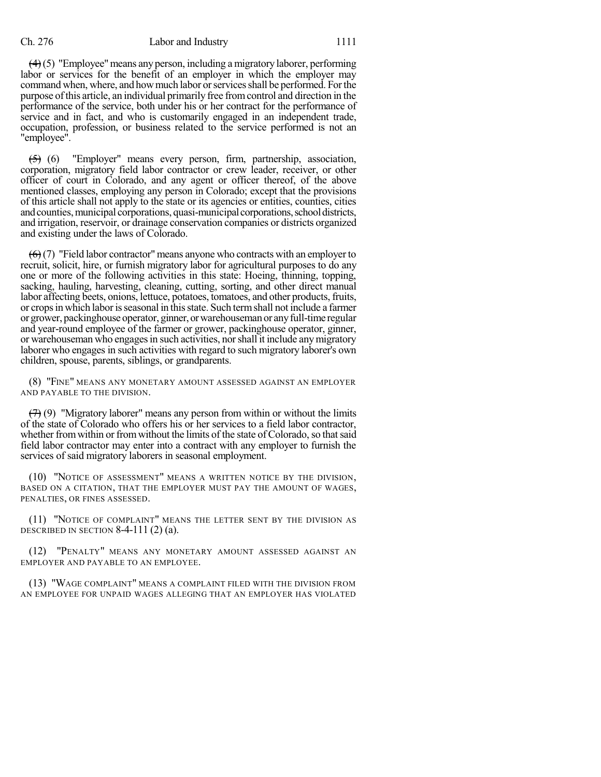### Ch. 276 Labor and Industry 1111

 $(4)(5)$  "Employee" means any person, including a migratory laborer, performing labor or services for the benefit of an employer in which the employer may command when, where, and howmuch labor orservicesshall be performed. Forthe purpose ofthis article, an individual primarily free fromcontrol and direction in the performance of the service, both under his or her contract for the performance of service and in fact, and who is customarily engaged in an independent trade, occupation, profession, or business related to the service performed is not an "employee".

 $(5)$  (6) "Employer" means every person, firm, partnership, association, corporation, migratory field labor contractor or crew leader, receiver, or other officer of court in Colorado, and any agent or officer thereof, of the above mentioned classes, employing any person in Colorado; except that the provisions of this article shall not apply to the state or its agencies or entities, counties, cities and counties, municipal corporations, quasi-municipal corporations, school districts, and irrigation, reservoir, or drainage conservation companies or districts organized and existing under the laws of Colorado.

 $(6)(7)$  "Field labor contractor" means anyone who contracts with an employer to recruit, solicit, hire, or furnish migratory labor for agricultural purposes to do any one or more of the following activities in this state: Hoeing, thinning, topping, sacking, hauling, harvesting, cleaning, cutting, sorting, and other direct manual labor affecting beets, onions, lettuce, potatoes, tomatoes, and other products, fruits, or cropsin which laborisseasonal in thisstate. Such termshall not include a farmer or grower, packinghouseoperator, ginner,orwarehousemanor anyfull-time regular and year-round employee of the farmer or grower, packinghouse operator, ginner, or warehouseman who engages in such activities, nor shall it include any migratory laborer who engages in such activities with regard to such migratory laborer's own children, spouse, parents, siblings, or grandparents.

(8) "FINE" MEANS ANY MONETARY AMOUNT ASSESSED AGAINST AN EMPLOYER AND PAYABLE TO THE DIVISION.

 $(7)$  (9) "Migratory laborer" means any person from within or without the limits of the state of Colorado who offers his or her services to a field labor contractor, whether from within or from without the limits of the state of Colorado, so that said field labor contractor may enter into a contract with any employer to furnish the services of said migratory laborers in seasonal employment.

(10) "NOTICE OF ASSESSMENT" MEANS A WRITTEN NOTICE BY THE DIVISION, BASED ON A CITATION, THAT THE EMPLOYER MUST PAY THE AMOUNT OF WAGES, PENALTIES, OR FINES ASSESSED.

(11) "NOTICE OF COMPLAINT" MEANS THE LETTER SENT BY THE DIVISION AS DESCRIBED IN SECTION  $8-4-111(2)(a)$ .

(12) "PENALTY" MEANS ANY MONETARY AMOUNT ASSESSED AGAINST AN EMPLOYER AND PAYABLE TO AN EMPLOYEE.

(13) "WAGE COMPLAINT" MEANS A COMPLAINT FILED WITH THE DIVISION FROM AN EMPLOYEE FOR UNPAID WAGES ALLEGING THAT AN EMPLOYER HAS VIOLATED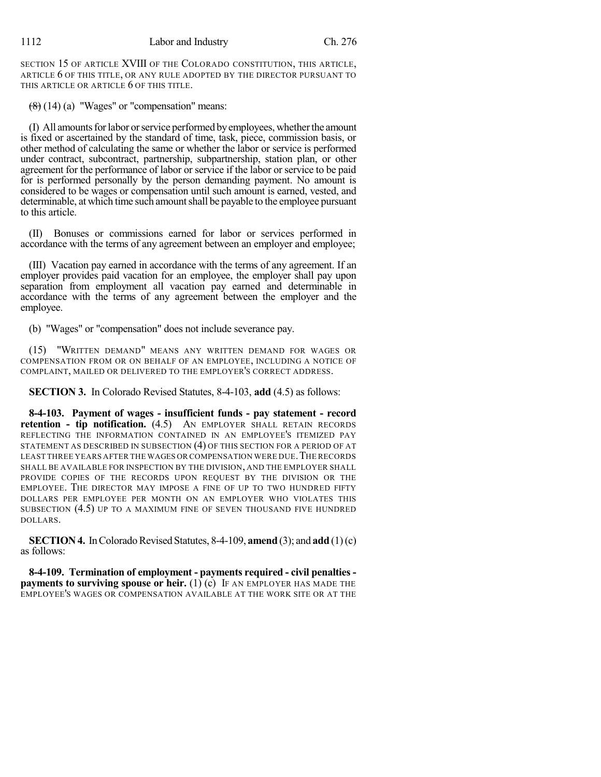SECTION 15 OF ARTICLE XVIII OF THE COLORADO CONSTITUTION, THIS ARTICLE, ARTICLE 6 OF THIS TITLE, OR ANY RULE ADOPTED BY THE DIRECTOR PURSUANT TO THIS ARTICLE OR ARTICLE 6 OF THIS TITLE.

 $(8)(14)$  (a) "Wages" or "compensation" means:

(I) All amounts for labor or service performed by employees, whether the amount is fixed or ascertained by the standard of time, task, piece, commission basis, or other method of calculating the same or whether the labor or service is performed under contract, subcontract, partnership, subpartnership, station plan, or other agreement for the performance of labor or service if the labor or service to be paid for is performed personally by the person demanding payment. No amount is considered to be wages or compensation until such amount is earned, vested, and determinable, at which time such amountshall be payable to the employee pursuant to this article.

(II) Bonuses or commissions earned for labor or services performed in accordance with the terms of any agreement between an employer and employee;

(III) Vacation pay earned in accordance with the terms of any agreement. If an employer provides paid vacation for an employee, the employer shall pay upon separation from employment all vacation pay earned and determinable in accordance with the terms of any agreement between the employer and the employee.

(b) "Wages" or "compensation" does not include severance pay.

(15) "WRITTEN DEMAND" MEANS ANY WRITTEN DEMAND FOR WAGES OR COMPENSATION FROM OR ON BEHALF OF AN EMPLOYEE, INCLUDING A NOTICE OF COMPLAINT, MAILED OR DELIVERED TO THE EMPLOYER'S CORRECT ADDRESS.

**SECTION 3.** In Colorado Revised Statutes, 8-4-103, **add** (4.5) as follows:

**8-4-103. Payment of wages - insufficient funds - pay statement - record retention - tip notification.** (4.5) AN EMPLOYER SHALL RETAIN RECORDS REFLECTING THE INFORMATION CONTAINED IN AN EMPLOYEE'S ITEMIZED PAY STATEMENT AS DESCRIBED IN SUBSECTION (4) OF THIS SECTION FOR A PERIOD OF AT LEAST THREE YEARS AFTER THE WAGES OR COMPENSATION WERE DUE. THE RECORDS SHALL BE AVAILABLE FOR INSPECTION BY THE DIVISION, AND THE EMPLOYER SHALL PROVIDE COPIES OF THE RECORDS UPON REQUEST BY THE DIVISION OR THE EMPLOYEE. THE DIRECTOR MAY IMPOSE A FINE OF UP TO TWO HUNDRED FIFTY DOLLARS PER EMPLOYEE PER MONTH ON AN EMPLOYER WHO VIOLATES THIS SUBSECTION (4.5) UP TO A MAXIMUM FINE OF SEVEN THOUSAND FIVE HUNDRED DOLLARS.

**SECTION 4.** In Colorado Revised Statutes, 8-4-109, **amend** (3); and **add** (1)(c) as follows:

**8-4-109. Termination of employment - payments required - civil penalties payments to surviving spouse or heir.** (1) (c) IF AN EMPLOYER HAS MADE THE EMPLOYEE'S WAGES OR COMPENSATION AVAILABLE AT THE WORK SITE OR AT THE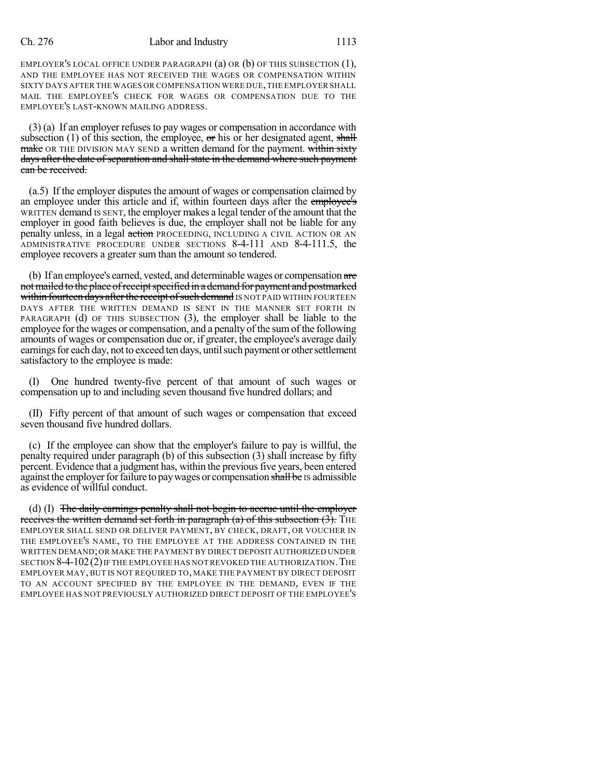EMPLOYER'S LOCAL OFFICE UNDER PARAGRAPH (a) OR (b) OF THIS SUBSECTION (1), AND THE EMPLOYEE HAS NOT RECEIVED THE WAGES OR COMPENSATION WITHIN SIXTY DAYS AFTER THE WAGES OR COMPENSATION WERE DUE,THE EMPLOYER SHALL MAIL THE EMPLOYEE'S CHECK FOR WAGES OR COMPENSATION DUE TO THE EMPLOYEE'S LAST-KNOWN MAILING ADDRESS.

(3) (a) If an employer refuses to pay wages or compensation in accordance with subsection (1) of this section, the employee,  $\sigma$ r his or her designated agent, shall make OR THE DIVISION MAY SEND a written demand for the payment. within sixty days after the date of separation and shall state in the demand where such payment can be received.

(a.5) If the employer disputes the amount of wages or compensation claimed by an employee under this article and if, within fourteen days after the employee's WRITTEN demand IS SENT, the employer makes a legal tender of the amount that the employer in good faith believes is due, the employer shall not be liable for any penalty unless, in a legal action PROCEEDING, INCLUDING A CIVIL ACTION OR AN ADMINISTRATIVE PROCEDURE UNDER SECTIONS 8-4-111 AND 8-4-111.5, the employee recovers a greater sum than the amount so tendered.

(b) If an employee's earned, vested, and determinable wages or compensation are not mailed to the place of receipt specified in a demand for payment and postmarked within fourteen days after the receipt of such demand IS NOT PAID WITHIN FOURTEEN DAYS AFTER THE WRITTEN DEMAND IS SENT IN THE MANNER SET FORTH IN PARAGRAPH (d) OF THIS SUBSECTION (3), the employer shall be liable to the employee for the wages or compensation, and a penalty of the sumof the following amounts of wages or compensation due or, if greater, the employee's average daily earnings for each day, not to exceed ten days, until such payment or other settlement satisfactory to the employee is made:

(I) One hundred twenty-five percent of that amount of such wages or compensation up to and including seven thousand five hundred dollars; and

(II) Fifty percent of that amount of such wages or compensation that exceed seven thousand five hundred dollars.

(c) If the employee can show that the employer's failure to pay is willful, the penalty required under paragraph (b) of this subsection (3) shall increase by fifty percent. Evidence that a judgment has, within the previous five years, been entered against the employer for failure to pay wages or compensation shall be IS admissible as evidence of willful conduct.

(d) (I) The daily earnings penalty shall not begin to accrue until the employer receives the written demand set forth in paragraph (a) of this subsection  $(3)$ . The EMPLOYER SHALL SEND OR DELIVER PAYMENT, BY CHECK, DRAFT, OR VOUCHER IN THE EMPLOYEE'S NAME, TO THE EMPLOYEE AT THE ADDRESS CONTAINED IN THE WRITTEN DEMAND;OR MAKE THE PAYMENT BY DIRECT DEPOSIT AUTHORIZED UNDER SECTION  $8-4-102(2)$  IF THE EMPLOYEE HAS NOT REVOKED THE AUTHORIZATION. THE EMPLOYER MAY, BUT IS NOT REQUIRED TO, MAKE THE PAYMENT BY DIRECT DEPOSIT TO AN ACCOUNT SPECIFIED BY THE EMPLOYEE IN THE DEMAND, EVEN IF THE EMPLOYEE HAS NOT PREVIOUSLY AUTHORIZED DIRECT DEPOSIT OF THE EMPLOYEE'S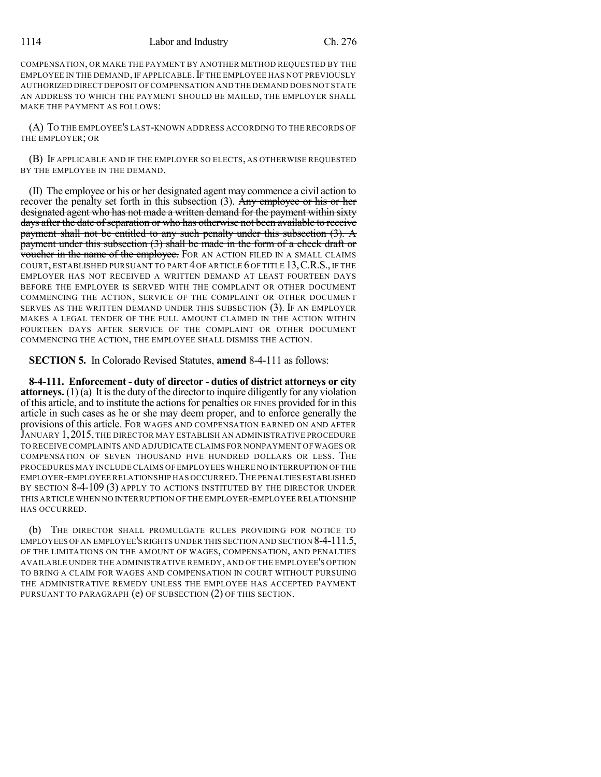COMPENSATION, OR MAKE THE PAYMENT BY ANOTHER METHOD REQUESTED BY THE EMPLOYEE IN THE DEMAND, IF APPLICABLE. IF THE EMPLOYEE HAS NOT PREVIOUSLY AUTHORIZED DIRECT DEPOSIT OF COMPENSATION AND THE DEMAND DOES NOT STATE AN ADDRESS TO WHICH THE PAYMENT SHOULD BE MAILED, THE EMPLOYER SHALL MAKE THE PAYMENT AS FOLLOWS:

(A) TO THE EMPLOYEE'S LAST-KNOWN ADDRESS ACCORDING TO THE RECORDS OF THE EMPLOYER; OR

(B) IF APPLICABLE AND IF THE EMPLOYER SO ELECTS, AS OTHERWISE REQUESTED BY THE EMPLOYEE IN THE DEMAND.

(II) The employee or his or her designated agent may commence a civil action to recover the penalty set forth in this subsection (3). Any employee or his or her designated agent who has not made a written demand for the payment within sixty days after the date of separation or who has otherwise not been available to receive payment shall not be entitled to any such penalty under this subsection (3). A payment under this subsection (3) shall be made in the form of a check draft or voucher in the name of the employee. FOR AN ACTION FILED IN A SMALL CLAIMS COURT, ESTABLISHED PURSUANT TO PART 4 OF ARTICLE 6 OF TITLE 13,C.R.S., IF THE EMPLOYER HAS NOT RECEIVED A WRITTEN DEMAND AT LEAST FOURTEEN DAYS BEFORE THE EMPLOYER IS SERVED WITH THE COMPLAINT OR OTHER DOCUMENT COMMENCING THE ACTION, SERVICE OF THE COMPLAINT OR OTHER DOCUMENT SERVES AS THE WRITTEN DEMAND UNDER THIS SUBSECTION (3). IF AN EMPLOYER MAKES A LEGAL TENDER OF THE FULL AMOUNT CLAIMED IN THE ACTION WITHIN FOURTEEN DAYS AFTER SERVICE OF THE COMPLAINT OR OTHER DOCUMENT COMMENCING THE ACTION, THE EMPLOYEE SHALL DISMISS THE ACTION.

**SECTION 5.** In Colorado Revised Statutes, **amend** 8-4-111 as follows:

**8-4-111. Enforcement - duty of director - duties of district attorneys or city attorneys.**  $(1)(a)$  It is the duty of the director to inquire diligently for any violation of this article, and to institute the actionsfor penalties OR FINES provided for in this article in such cases as he or she may deem proper, and to enforce generally the provisions of this article. FOR WAGES AND COMPENSATION EARNED ON AND AFTER JANUARY 1,2015, THE DIRECTOR MAY ESTABLISH AN ADMINISTRATIVE PROCEDURE TO RECEIVE COMPLAINTS AND ADJUDICATE CLAIMS FOR NONPAYMENT OFWAGES OR COMPENSATION OF SEVEN THOUSAND FIVE HUNDRED DOLLARS OR LESS. THE PROCEDURES MAY INCLUDE CLAIMS OF EMPLOYEES WHERE NO INTERRUPTION OFTHE EMPLOYER-EMPLOYEE RELATIONSHIP HAS OCCURRED.THE PENALTIES ESTABLISHED BY SECTION 8-4-109 (3) APPLY TO ACTIONS INSTITUTED BY THE DIRECTOR UNDER THIS ARTICLE WHEN NO INTERRUPTION OF THE EMPLOYER-EMPLOYEE RELATIONSHIP HAS OCCURRED.

(b) THE DIRECTOR SHALL PROMULGATE RULES PROVIDING FOR NOTICE TO EMPLOYEES OFAN EMPLOYEE'SRIGHTS UNDER THIS SECTION AND SECTION 8-4-111.5, OF THE LIMITATIONS ON THE AMOUNT OF WAGES, COMPENSATION, AND PENALTIES AVAILABLE UNDER THE ADMINISTRATIVE REMEDY, AND OF THE EMPLOYEE'S OPTION TO BRING A CLAIM FOR WAGES AND COMPENSATION IN COURT WITHOUT PURSUING THE ADMINISTRATIVE REMEDY UNLESS THE EMPLOYEE HAS ACCEPTED PAYMENT PURSUANT TO PARAGRAPH (e) OF SUBSECTION (2) OF THIS SECTION.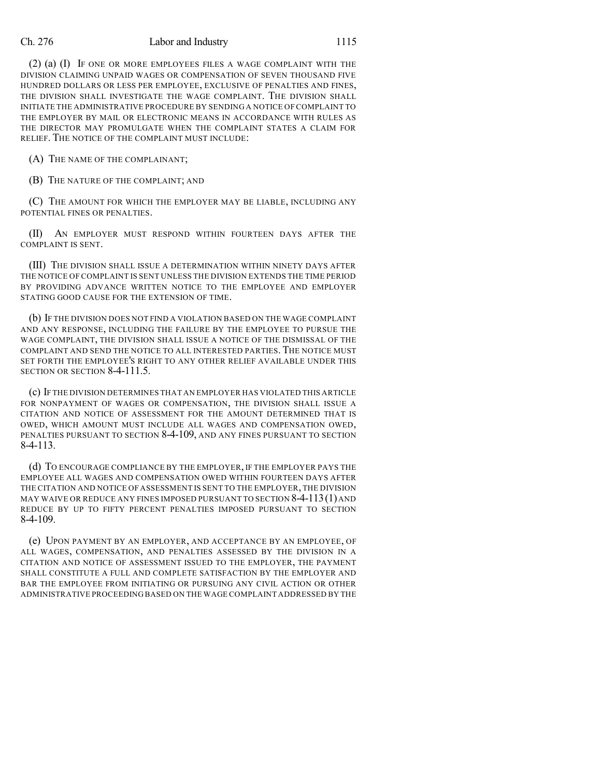#### Ch. 276 Labor and Industry 1115

(2) (a) (I) IF ONE OR MORE EMPLOYEES FILES A WAGE COMPLAINT WITH THE DIVISION CLAIMING UNPAID WAGES OR COMPENSATION OF SEVEN THOUSAND FIVE HUNDRED DOLLARS OR LESS PER EMPLOYEE, EXCLUSIVE OF PENALTIES AND FINES, THE DIVISION SHALL INVESTIGATE THE WAGE COMPLAINT. THE DIVISION SHALL INITIATE THE ADMINISTRATIVE PROCEDURE BY SENDING A NOTICE OF COMPLAINT TO THE EMPLOYER BY MAIL OR ELECTRONIC MEANS IN ACCORDANCE WITH RULES AS THE DIRECTOR MAY PROMULGATE WHEN THE COMPLAINT STATES A CLAIM FOR RELIEF. THE NOTICE OF THE COMPLAINT MUST INCLUDE:

(A) THE NAME OF THE COMPLAINANT;

(B) THE NATURE OF THE COMPLAINT; AND

(C) THE AMOUNT FOR WHICH THE EMPLOYER MAY BE LIABLE, INCLUDING ANY POTENTIAL FINES OR PENALTIES.

(II) AN EMPLOYER MUST RESPOND WITHIN FOURTEEN DAYS AFTER THE COMPLAINT IS SENT.

(III) THE DIVISION SHALL ISSUE A DETERMINATION WITHIN NINETY DAYS AFTER THE NOTICE OF COMPLAINT IS SENT UNLESS THE DIVISION EXTENDS THE TIME PERIOD BY PROVIDING ADVANCE WRITTEN NOTICE TO THE EMPLOYEE AND EMPLOYER STATING GOOD CAUSE FOR THE EXTENSION OF TIME.

(b) IF THE DIVISION DOES NOT FIND A VIOLATION BASED ON THE WAGE COMPLAINT AND ANY RESPONSE, INCLUDING THE FAILURE BY THE EMPLOYEE TO PURSUE THE WAGE COMPLAINT, THE DIVISION SHALL ISSUE A NOTICE OF THE DISMISSAL OF THE COMPLAINT AND SEND THE NOTICE TO ALL INTERESTED PARTIES. THE NOTICE MUST SET FORTH THE EMPLOYEE'S RIGHT TO ANY OTHER RELIEF AVAILABLE UNDER THIS SECTION OR SECTION 8-4-111.5.

(c) IF THE DIVISION DETERMINES THAT AN EMPLOYER HAS VIOLATED THIS ARTICLE FOR NONPAYMENT OF WAGES OR COMPENSATION, THE DIVISION SHALL ISSUE A CITATION AND NOTICE OF ASSESSMENT FOR THE AMOUNT DETERMINED THAT IS OWED, WHICH AMOUNT MUST INCLUDE ALL WAGES AND COMPENSATION OWED, PENALTIES PURSUANT TO SECTION 8-4-109, AND ANY FINES PURSUANT TO SECTION 8-4-113.

(d) TO ENCOURAGE COMPLIANCE BY THE EMPLOYER, IF THE EMPLOYER PAYS THE EMPLOYEE ALL WAGES AND COMPENSATION OWED WITHIN FOURTEEN DAYS AFTER THE CITATION AND NOTICE OF ASSESSMENT IS SENT TO THE EMPLOYER, THE DIVISION MAY WAIVE OR REDUCE ANY FINES IMPOSED PURSUANT TO SECTION  $8-4-113(1)$  and REDUCE BY UP TO FIFTY PERCENT PENALTIES IMPOSED PURSUANT TO SECTION 8-4-109.

(e) UPON PAYMENT BY AN EMPLOYER, AND ACCEPTANCE BY AN EMPLOYEE, OF ALL WAGES, COMPENSATION, AND PENALTIES ASSESSED BY THE DIVISION IN A CITATION AND NOTICE OF ASSESSMENT ISSUED TO THE EMPLOYER, THE PAYMENT SHALL CONSTITUTE A FULL AND COMPLETE SATISFACTION BY THE EMPLOYER AND BAR THE EMPLOYEE FROM INITIATING OR PURSUING ANY CIVIL ACTION OR OTHER ADMINISTRATIVE PROCEEDING BASED ON THE WAGE COMPLAINT ADDRESSED BY THE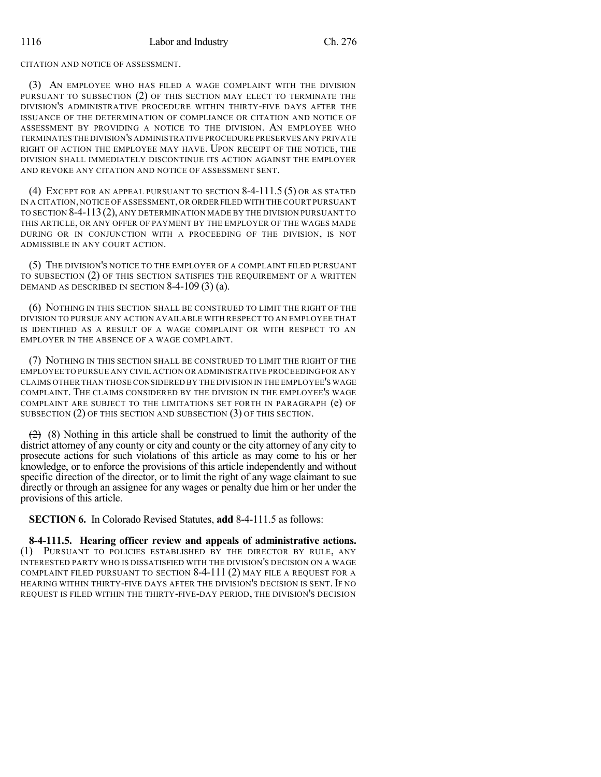CITATION AND NOTICE OF ASSESSMENT.

(3) AN EMPLOYEE WHO HAS FILED A WAGE COMPLAINT WITH THE DIVISION PURSUANT TO SUBSECTION (2) OF THIS SECTION MAY ELECT TO TERMINATE THE DIVISION'S ADMINISTRATIVE PROCEDURE WITHIN THIRTY-FIVE DAYS AFTER THE ISSUANCE OF THE DETERMINATION OF COMPLIANCE OR CITATION AND NOTICE OF ASSESSMENT BY PROVIDING A NOTICE TO THE DIVISION. AN EMPLOYEE WHO TERMINATES THE DIVISION'S ADMINISTRATIVE PROCEDURE PRESERVES ANY PRIVATE RIGHT OF ACTION THE EMPLOYEE MAY HAVE. UPON RECEIPT OF THE NOTICE, THE DIVISION SHALL IMMEDIATELY DISCONTINUE ITS ACTION AGAINST THE EMPLOYER AND REVOKE ANY CITATION AND NOTICE OF ASSESSMENT SENT.

(4) EXCEPT FOR AN APPEAL PURSUANT TO SECTION 8-4-111.5 (5) OR AS STATED IN A CITATION,NOTICE OFASSESSMENT,OR ORDER FILED WITH THE COURT PURSUANT TO SECTION 8-4-113(2), ANY DETERMINATION MADE BY THE DIVISION PURSUANT TO THIS ARTICLE, OR ANY OFFER OF PAYMENT BY THE EMPLOYER OF THE WAGES MADE DURING OR IN CONJUNCTION WITH A PROCEEDING OF THE DIVISION, IS NOT ADMISSIBLE IN ANY COURT ACTION.

(5) THE DIVISION'S NOTICE TO THE EMPLOYER OF A COMPLAINT FILED PURSUANT TO SUBSECTION (2) OF THIS SECTION SATISFIES THE REQUIREMENT OF A WRITTEN DEMAND AS DESCRIBED IN SECTION 8-4-109 (3) (a).

(6) NOTHING IN THIS SECTION SHALL BE CONSTRUED TO LIMIT THE RIGHT OF THE DIVISION TO PURSUE ANY ACTION AVAILABLE WITH RESPECT TO AN EMPLOYEE THAT IS IDENTIFIED AS A RESULT OF A WAGE COMPLAINT OR WITH RESPECT TO AN EMPLOYER IN THE ABSENCE OF A WAGE COMPLAINT.

(7) NOTHING IN THIS SECTION SHALL BE CONSTRUED TO LIMIT THE RIGHT OF THE EMPLOYEE TO PURSUE ANY CIVIL ACTION OR ADMINISTRATIVE PROCEEDING FOR ANY CLAIMS OTHER THAN THOSE CONSIDERED BY THE DIVISION IN THE EMPLOYEE'S WAGE COMPLAINT. THE CLAIMS CONSIDERED BY THE DIVISION IN THE EMPLOYEE'S WAGE COMPLAINT ARE SUBJECT TO THE LIMITATIONS SET FORTH IN PARAGRAPH (e) OF SUBSECTION (2) OF THIS SECTION AND SUBSECTION (3) OF THIS SECTION.

 $(2)$  (8) Nothing in this article shall be construed to limit the authority of the district attorney of any county or city and county or the city attorney of any city to prosecute actions for such violations of this article as may come to his or her knowledge, or to enforce the provisions of this article independently and without specific direction of the director, or to limit the right of any wage claimant to sue directly or through an assignee for any wages or penalty due him or her under the provisions of this article.

**SECTION 6.** In Colorado Revised Statutes, **add** 8-4-111.5 as follows:

**8-4-111.5. Hearing officer review and appeals of administrative actions.** (1) PURSUANT TO POLICIES ESTABLISHED BY THE DIRECTOR BY RULE, ANY INTERESTED PARTY WHO IS DISSATISFIED WITH THE DIVISION'S DECISION ON A WAGE COMPLAINT FILED PURSUANT TO SECTION 8-4-111 (2) MAY FILE A REQUEST FOR A HEARING WITHIN THIRTY-FIVE DAYS AFTER THE DIVISION'S DECISION IS SENT. IF NO REQUEST IS FILED WITHIN THE THIRTY-FIVE-DAY PERIOD, THE DIVISION'S DECISION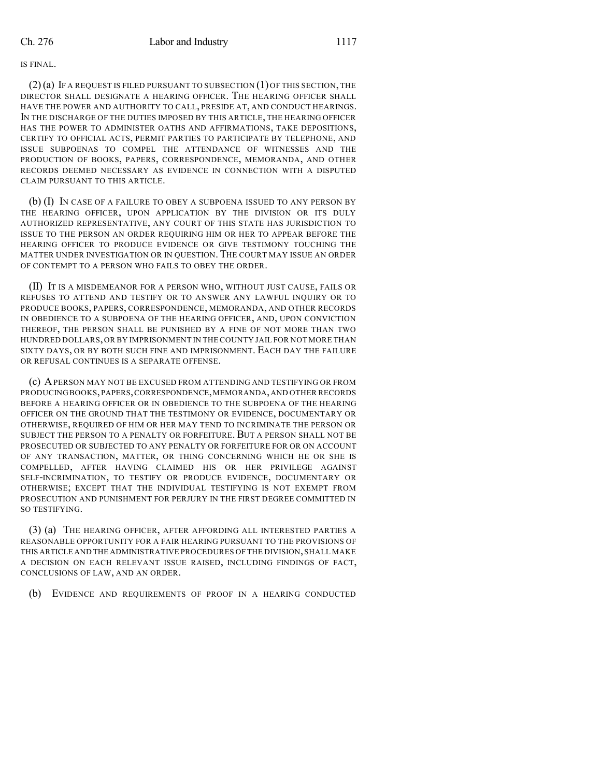IS FINAL.

 $(2)(a)$  If a request is filed pursuant to subsection  $(1)$  of this section, the DIRECTOR SHALL DESIGNATE A HEARING OFFICER. THE HEARING OFFICER SHALL HAVE THE POWER AND AUTHORITY TO CALL, PRESIDE AT, AND CONDUCT HEARINGS. IN THE DISCHARGE OF THE DUTIES IMPOSED BY THIS ARTICLE, THE HEARING OFFICER HAS THE POWER TO ADMINISTER OATHS AND AFFIRMATIONS, TAKE DEPOSITIONS, CERTIFY TO OFFICIAL ACTS, PERMIT PARTIES TO PARTICIPATE BY TELEPHONE, AND ISSUE SUBPOENAS TO COMPEL THE ATTENDANCE OF WITNESSES AND THE PRODUCTION OF BOOKS, PAPERS, CORRESPONDENCE, MEMORANDA, AND OTHER RECORDS DEEMED NECESSARY AS EVIDENCE IN CONNECTION WITH A DISPUTED CLAIM PURSUANT TO THIS ARTICLE.

(b) (I) IN CASE OF A FAILURE TO OBEY A SUBPOENA ISSUED TO ANY PERSON BY THE HEARING OFFICER, UPON APPLICATION BY THE DIVISION OR ITS DULY AUTHORIZED REPRESENTATIVE, ANY COURT OF THIS STATE HAS JURISDICTION TO ISSUE TO THE PERSON AN ORDER REQUIRING HIM OR HER TO APPEAR BEFORE THE HEARING OFFICER TO PRODUCE EVIDENCE OR GIVE TESTIMONY TOUCHING THE MATTER UNDER INVESTIGATION OR IN QUESTION. THE COURT MAY ISSUE AN ORDER OF CONTEMPT TO A PERSON WHO FAILS TO OBEY THE ORDER.

(II) IT IS A MISDEMEANOR FOR A PERSON WHO, WITHOUT JUST CAUSE, FAILS OR REFUSES TO ATTEND AND TESTIFY OR TO ANSWER ANY LAWFUL INQUIRY OR TO PRODUCE BOOKS, PAPERS, CORRESPONDENCE, MEMORANDA, AND OTHER RECORDS IN OBEDIENCE TO A SUBPOENA OF THE HEARING OFFICER, AND, UPON CONVICTION THEREOF, THE PERSON SHALL BE PUNISHED BY A FINE OF NOT MORE THAN TWO HUNDRED DOLLARS,OR BY IMPRISONMENT IN THE COUNTY JAIL FOR NOT MORE THAN SIXTY DAYS, OR BY BOTH SUCH FINE AND IMPRISONMENT. EACH DAY THE FAILURE OR REFUSAL CONTINUES IS A SEPARATE OFFENSE.

(c) APERSON MAY NOT BE EXCUSED FROM ATTENDING AND TESTIFYING OR FROM PRODUCING BOOKS,PAPERS,CORRESPONDENCE,MEMORANDA,AND OTHER RECORDS BEFORE A HEARING OFFICER OR IN OBEDIENCE TO THE SUBPOENA OF THE HEARING OFFICER ON THE GROUND THAT THE TESTIMONY OR EVIDENCE, DOCUMENTARY OR OTHERWISE, REQUIRED OF HIM OR HER MAY TEND TO INCRIMINATE THE PERSON OR SUBJECT THE PERSON TO A PENALTY OR FORFEITURE. BUT A PERSON SHALL NOT BE PROSECUTED OR SUBJECTED TO ANY PENALTY OR FORFEITURE FOR OR ON ACCOUNT OF ANY TRANSACTION, MATTER, OR THING CONCERNING WHICH HE OR SHE IS COMPELLED, AFTER HAVING CLAIMED HIS OR HER PRIVILEGE AGAINST SELF-INCRIMINATION, TO TESTIFY OR PRODUCE EVIDENCE, DOCUMENTARY OR OTHERWISE; EXCEPT THAT THE INDIVIDUAL TESTIFYING IS NOT EXEMPT FROM PROSECUTION AND PUNISHMENT FOR PERJURY IN THE FIRST DEGREE COMMITTED IN SO TESTIFYING.

(3) (a) THE HEARING OFFICER, AFTER AFFORDING ALL INTERESTED PARTIES A REASONABLE OPPORTUNITY FOR A FAIR HEARING PURSUANT TO THE PROVISIONS OF THIS ARTICLE AND THE ADMINISTRATIVE PROCEDURES OF THE DIVISION,SHALL MAKE A DECISION ON EACH RELEVANT ISSUE RAISED, INCLUDING FINDINGS OF FACT, CONCLUSIONS OF LAW, AND AN ORDER.

(b) EVIDENCE AND REQUIREMENTS OF PROOF IN A HEARING CONDUCTED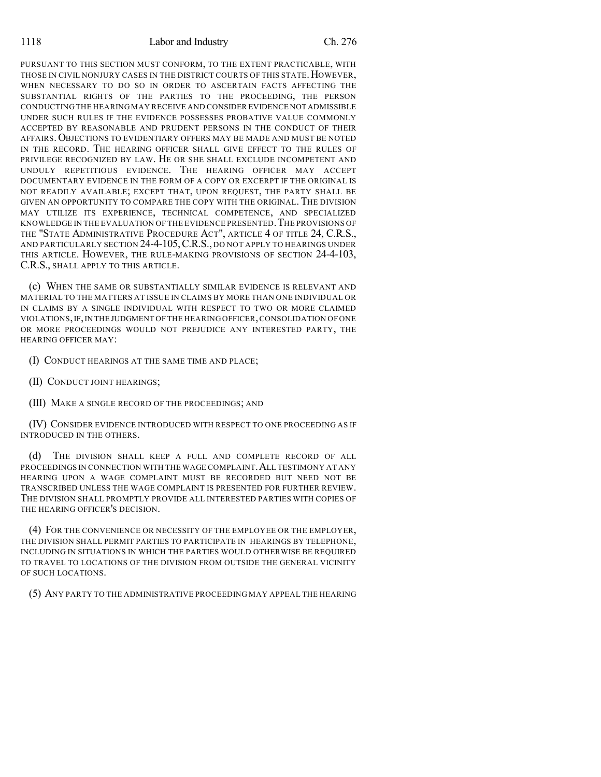PURSUANT TO THIS SECTION MUST CONFORM, TO THE EXTENT PRACTICABLE, WITH THOSE IN CIVIL NONJURY CASES IN THE DISTRICT COURTS OF THIS STATE. HOWEVER, WHEN NECESSARY TO DO SO IN ORDER TO ASCERTAIN FACTS AFFECTING THE SUBSTANTIAL RIGHTS OF THE PARTIES TO THE PROCEEDING, THE PERSON CONDUCTING THE HEARING MAY RECEIVE AND CONSIDER EVIDENCE NOT ADMISSIBLE UNDER SUCH RULES IF THE EVIDENCE POSSESSES PROBATIVE VALUE COMMONLY ACCEPTED BY REASONABLE AND PRUDENT PERSONS IN THE CONDUCT OF THEIR AFFAIRS.OBJECTIONS TO EVIDENTIARY OFFERS MAY BE MADE AND MUST BE NOTED IN THE RECORD. THE HEARING OFFICER SHALL GIVE EFFECT TO THE RULES OF PRIVILEGE RECOGNIZED BY LAW. HE OR SHE SHALL EXCLUDE INCOMPETENT AND UNDULY REPETITIOUS EVIDENCE. THE HEARING OFFICER MAY ACCEPT DOCUMENTARY EVIDENCE IN THE FORM OF A COPY OR EXCERPT IF THE ORIGINAL IS NOT READILY AVAILABLE; EXCEPT THAT, UPON REQUEST, THE PARTY SHALL BE GIVEN AN OPPORTUNITY TO COMPARE THE COPY WITH THE ORIGINAL. THE DIVISION MAY UTILIZE ITS EXPERIENCE, TECHNICAL COMPETENCE, AND SPECIALIZED KNOWLEDGE IN THE EVALUATION OF THE EVIDENCE PRESENTED. THE PROVISIONS OF THE "STATE ADMINISTRATIVE PROCEDURE ACT", ARTICLE 4 OF TITLE 24, C.R.S., AND PARTICULARLY SECTION 24-4-105,C.R.S., DO NOT APPLY TO HEARINGS UNDER THIS ARTICLE. HOWEVER, THE RULE-MAKING PROVISIONS OF SECTION 24-4-103, C.R.S., SHALL APPLY TO THIS ARTICLE.

(c) WHEN THE SAME OR SUBSTANTIALLY SIMILAR EVIDENCE IS RELEVANT AND MATERIAL TO THE MATTERS AT ISSUE IN CLAIMS BY MORE THAN ONE INDIVIDUAL OR IN CLAIMS BY A SINGLE INDIVIDUAL WITH RESPECT TO TWO OR MORE CLAIMED VIOLATIONS,IF,IN THE JUDGMENT OF THE HEARING OFFICER,CONSOLIDATION OFONE OR MORE PROCEEDINGS WOULD NOT PREJUDICE ANY INTERESTED PARTY, THE HEARING OFFICER MAY:

(I) CONDUCT HEARINGS AT THE SAME TIME AND PLACE;

(II) CONDUCT JOINT HEARINGS;

(III) MAKE A SINGLE RECORD OF THE PROCEEDINGS; AND

(IV) CONSIDER EVIDENCE INTRODUCED WITH RESPECT TO ONE PROCEEDING AS IF INTRODUCED IN THE OTHERS.

(d) THE DIVISION SHALL KEEP A FULL AND COMPLETE RECORD OF ALL PROCEEDINGS IN CONNECTION WITH THE WAGE COMPLAINT. ALL TESTIMONY AT ANY HEARING UPON A WAGE COMPLAINT MUST BE RECORDED BUT NEED NOT BE TRANSCRIBED UNLESS THE WAGE COMPLAINT IS PRESENTED FOR FURTHER REVIEW. THE DIVISION SHALL PROMPTLY PROVIDE ALL INTERESTED PARTIES WITH COPIES OF THE HEARING OFFICER'S DECISION.

(4) FOR THE CONVENIENCE OR NECESSITY OF THE EMPLOYEE OR THE EMPLOYER, THE DIVISION SHALL PERMIT PARTIES TO PARTICIPATE IN HEARINGS BY TELEPHONE, INCLUDING IN SITUATIONS IN WHICH THE PARTIES WOULD OTHERWISE BE REQUIRED TO TRAVEL TO LOCATIONS OF THE DIVISION FROM OUTSIDE THE GENERAL VICINITY OF SUCH LOCATIONS.

(5) ANY PARTY TO THE ADMINISTRATIVE PROCEEDING MAY APPEAL THE HEARING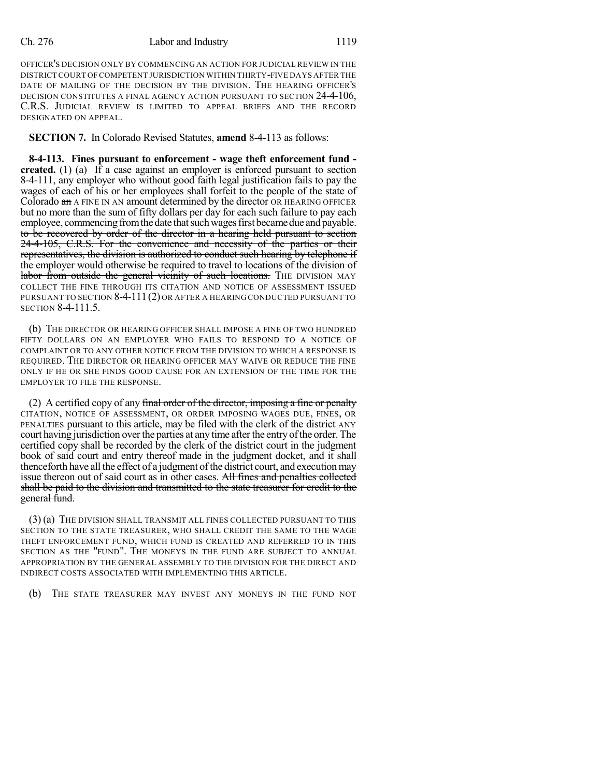#### Ch. 276 Labor and Industry 1119

OFFICER'S DECISION ONLY BY COMMENCING AN ACTION FOR JUDICIAL REVIEW IN THE DISTRICTCOURT OFCOMPETENT JURISDICTION WITHIN THIRTY-FIVE DAYS AFTER THE DATE OF MAILING OF THE DECISION BY THE DIVISION. THE HEARING OFFICER'S DECISION CONSTITUTES A FINAL AGENCY ACTION PURSUANT TO SECTION 24-4-106, C.R.S. JUDICIAL REVIEW IS LIMITED TO APPEAL BRIEFS AND THE RECORD DESIGNATED ON APPEAL.

**SECTION 7.** In Colorado Revised Statutes, **amend** 8-4-113 as follows:

**8-4-113. Fines pursuant to enforcement - wage theft enforcement fund created.** (1) (a) If a case against an employer is enforced pursuant to section 8-4-111, any employer who without good faith legal justification fails to pay the wages of each of his or her employees shall forfeit to the people of the state of Colorado an A FINE IN AN amount determined by the director OR HEARING OFFICER but no more than the sum of fifty dollars per day for each such failure to pay each employee, commencing from the date that such wages first became due and payable. to be recovered by order of the director in a hearing held pursuant to section 24-4-105, C.R.S. For the convenience and necessity of the parties or their representatives, the division is authorized to conduct such hearing by telephone if the employer would otherwise be required to travel to locations of the division of labor from outside the general vicinity of such locations. THE DIVISION MAY COLLECT THE FINE THROUGH ITS CITATION AND NOTICE OF ASSESSMENT ISSUED PURSUANT TO SECTION 8-4-111(2) OR AFTER A HEARING CONDUCTED PURSUANT TO SECTION 8-4-111.5.

(b) THE DIRECTOR OR HEARING OFFICER SHALL IMPOSE A FINE OF TWO HUNDRED FIFTY DOLLARS ON AN EMPLOYER WHO FAILS TO RESPOND TO A NOTICE OF COMPLAINT OR TO ANY OTHER NOTICE FROM THE DIVISION TO WHICH A RESPONSE IS REQUIRED. THE DIRECTOR OR HEARING OFFICER MAY WAIVE OR REDUCE THE FINE ONLY IF HE OR SHE FINDS GOOD CAUSE FOR AN EXTENSION OF THE TIME FOR THE EMPLOYER TO FILE THE RESPONSE.

(2) A certified copy of any final order of the director, imposing a fine or penalty CITATION, NOTICE OF ASSESSMENT, OR ORDER IMPOSING WAGES DUE, FINES, OR PENALTIES pursuant to this article, may be filed with the clerk of the district ANY court having jurisdiction over the parties at any time after the entry of the order. The certified copy shall be recorded by the clerk of the district court in the judgment book of said court and entry thereof made in the judgment docket, and it shall thenceforth have all the effect of a judgment of the district court, and execution may issue thereon out of said court as in other cases. All fines and penalties collected shall be paid to the division and transmitted to the state treasurer for credit to the general fund.

(3) (a) THE DIVISION SHALL TRANSMIT ALL FINES COLLECTED PURSUANT TO THIS SECTION TO THE STATE TREASURER, WHO SHALL CREDIT THE SAME TO THE WAGE THEFT ENFORCEMENT FUND, WHICH FUND IS CREATED AND REFERRED TO IN THIS SECTION AS THE "FUND". THE MONEYS IN THE FUND ARE SUBJECT TO ANNUAL APPROPRIATION BY THE GENERAL ASSEMBLY TO THE DIVISION FOR THE DIRECT AND INDIRECT COSTS ASSOCIATED WITH IMPLEMENTING THIS ARTICLE.

(b) THE STATE TREASURER MAY INVEST ANY MONEYS IN THE FUND NOT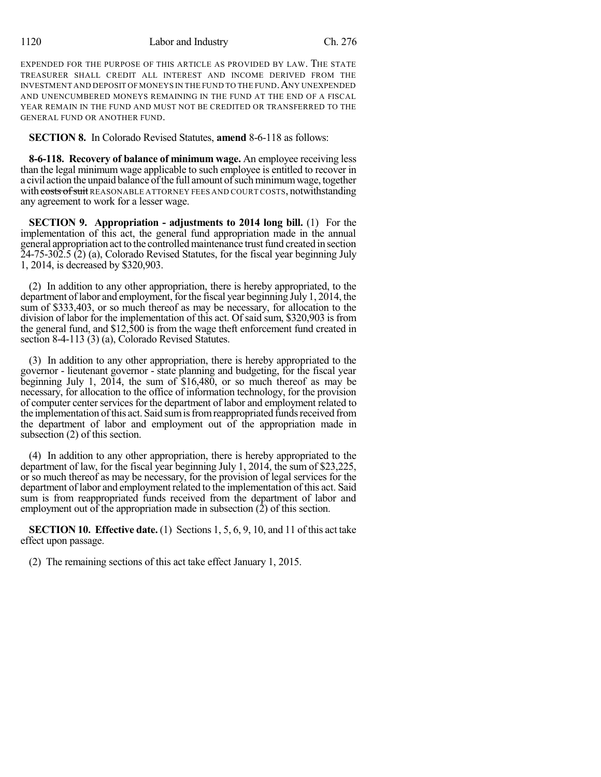EXPENDED FOR THE PURPOSE OF THIS ARTICLE AS PROVIDED BY LAW. THE STATE TREASURER SHALL CREDIT ALL INTEREST AND INCOME DERIVED FROM THE INVESTMENT AND DEPOSIT OF MONEYS IN THE FUND TO THE FUND.ANY UNEXPENDED AND UNENCUMBERED MONEYS REMAINING IN THE FUND AT THE END OF A FISCAL YEAR REMAIN IN THE FUND AND MUST NOT BE CREDITED OR TRANSFERRED TO THE GENERAL FUND OR ANOTHER FUND.

**SECTION 8.** In Colorado Revised Statutes, **amend** 8-6-118 as follows:

**8-6-118. Recovery of balance of minimum wage.** An employee receiving less than the legal minimum wage applicable to such employee is entitled to recover in a civil action the unpaid balance of the full amount of such minimum wage, together with costs of suit REASONABLE ATTORNEY FEES AND COURT COSTS, notwithstanding any agreement to work for a lesser wage.

**SECTION 9. Appropriation - adjustments to 2014 long bill.** (1) For the implementation of this act, the general fund appropriation made in the annual general appropriation act to the controlled maintenance trust fund created in section 24-75-302.5 (2) (a), Colorado Revised Statutes, for the fiscal year beginning July 1, 2014, is decreased by \$320,903.

(2) In addition to any other appropriation, there is hereby appropriated, to the department of labor and employment, for the fiscal year beginning July 1, 2014, the sum of \$333,403, or so much thereof as may be necessary, for allocation to the division of labor for the implementation of this act. Of said sum, \$320,903 is from the general fund, and \$12,500 is from the wage theft enforcement fund created in section 8-4-113 (3) (a), Colorado Revised Statutes.

(3) In addition to any other appropriation, there is hereby appropriated to the governor - lieutenant governor - state planning and budgeting, for the fiscal year beginning July 1, 2014, the sum of \$16,480, or so much thereof as may be necessary, for allocation to the office of information technology, for the provision of computer center services for the department of labor and employment related to the implementation of this act. Said sum is from reappropriated funds received from the department of labor and employment out of the appropriation made in subsection (2) of this section.

(4) In addition to any other appropriation, there is hereby appropriated to the department of law, for the fiscal year beginning July 1, 2014, the sum of \$23,225, or so much thereof as may be necessary, for the provision of legal services for the department of labor and employment related to the implementation of this act. Said sum is from reappropriated funds received from the department of labor and employment out of the appropriation made in subsection (2) of this section.

**SECTION 10. Effective date.** (1) Sections 1, 5, 6, 9, 10, and 11 of this act take effect upon passage.

(2) The remaining sections of this act take effect January 1, 2015.